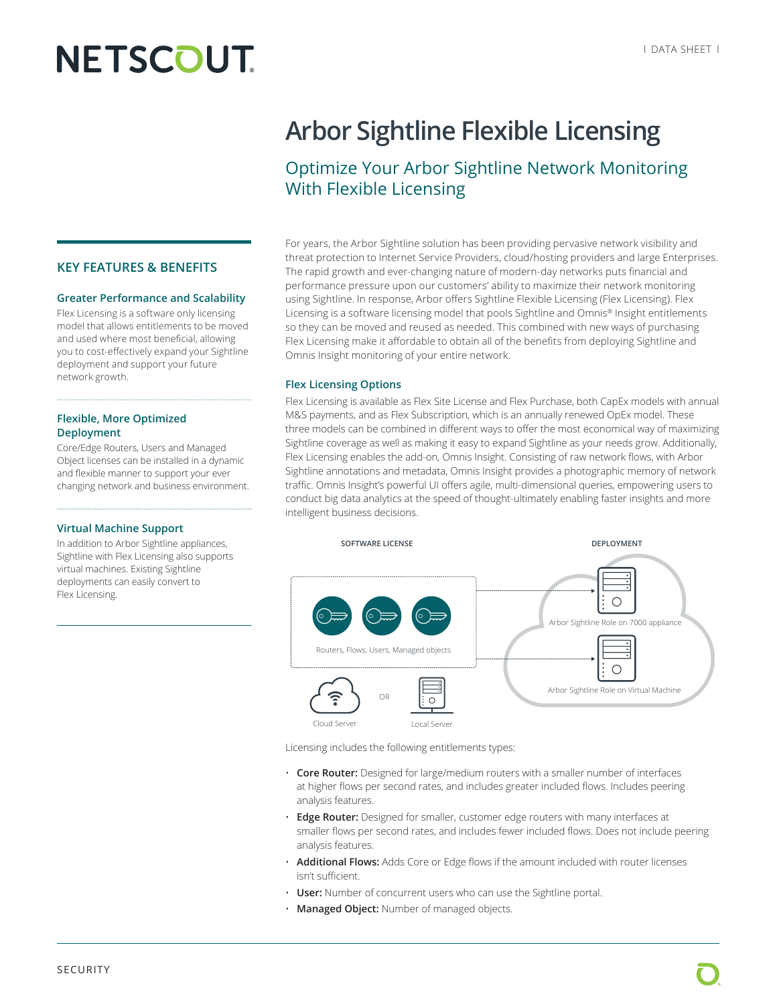# **NETSCOUT**

#### **KEY FEATURES & BENEFITS**

#### **Greater Performance and Scalability**

Flex Licensing is a software only licensing model that allows entitlements to be moved and used where most beneficial, allowing you to cost-effectively expand your Sightline deployment and support your future network growth.

#### **Flexible, More Optimized Deployment**

Core/Edge Routers, Users and Managed Object licenses can be installed in a dynamic and flexible manner to support your ever changing network and business environment.

#### **Virtual Machine Support**

In addition to Arbor Sightline appliances, Sightline with Flex Licensing also supports virtual machines. Existing Sightline deployments can easily convert to Flex Licensing.

## **Arbor Sightline Flexible Licensing**

### Optimize Your Arbor Sightline Network Monitoring With Flexible Licensing

For years, the Arbor Sightline solution has been providing pervasive network visibility and threat protection to Internet Service Providers, cloud/hosting providers and large Enterprises. The rapid growth and ever-changing nature of modern-day networks puts financial and performance pressure upon our customers' ability to maximize their network monitoring using Sightline. In response, Arbor offers Sightline Flexible Licensing (Flex Licensing). Flex Licensing is a software licensing model that pools Sightline and Omnis® Insight entitlements so they can be moved and reused as needed. This combined with new ways of purchasing Flex Licensing make it affordable to obtain all of the benefits from deploying Sightline and Omnis Insight monitoring of your entire network.

#### **Flex Licensing Options**

Flex Licensing is available as Flex Site License and Flex Purchase, both CapEx models with annual M&S payments, and as Flex Subscription, which is an annually renewed OpEx model. These three models can be combined in different ways to offer the most economical way of maximizing Sightline coverage as well as making it easy to expand Sightline as your needs grow. Additionally, Flex Licensing enables the add-on, Omnis Insight. Consisting of raw network flows, with Arbor Sightline annotations and metadata, Omnis Insight provides a photographic memory of network traffic. Omnis Insight's powerful UI offers agile, multi-dimensional queries, empowering users to conduct big data analytics at the speed of thought-ultimately enabling faster insights and more intelligent business decisions.



Licensing includes the following entitlements types:

- **Core Router:** Designed for large/medium routers with a smaller number of interfaces at higher flows per second rates, and includes greater included flows. Includes peering analysis features.
- **Edge Router:** Designed for smaller, customer edge routers with many interfaces at smaller flows per second rates, and includes fewer included flows. Does not include peering analysis features.
- **Additional Flows:** Adds Core or Edge flows if the amount included with router licenses isn't sufficient.
- **User:** Number of concurrent users who can use the Sightline portal.
- **Managed Object:** Number of managed objects.